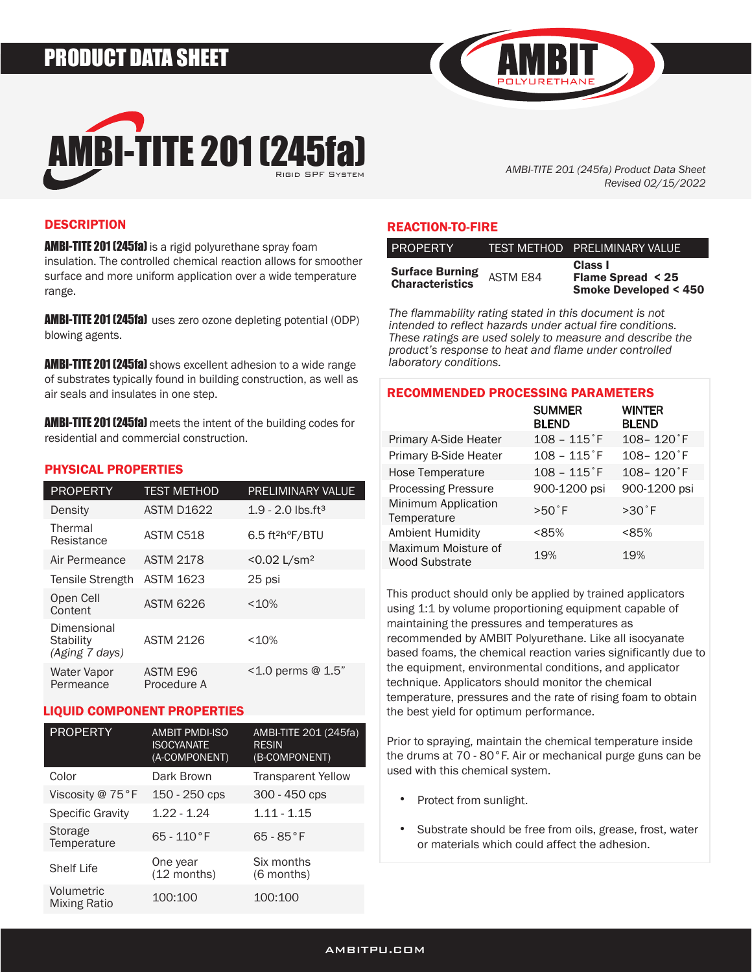# PRODUCT DATA SHEET



*AMBI-TITE 201 (245fa) Product Data Sheet Revised 02/15/2022*

# **DESCRIPTION**

**AMBI-TITE 201 (245fa)** is a rigid polyurethane spray foam insulation. The controlled chemical reaction allows for smoother surface and more uniform application over a wide temperature range.

**AMBI-TITE 201 (245fa)** uses zero ozone depleting potential (ODP) blowing agents.

**AMBI-TITE 201 (245fa)** shows excellent adhesion to a wide range of substrates typically found in building construction, as well as air seals and insulates in one step.

**AMBI-TITE 201 (245fa)** meets the intent of the building codes for residential and commercial construction.

### PHYSICAL PROPERTIES

| <b>PROPERTY</b>                            | <b>TEST METHOD</b>      | <b>PRELIMINARY VALUE</b>                   |
|--------------------------------------------|-------------------------|--------------------------------------------|
| Density                                    | <b>ASTM D1622</b>       | $1.9 - 2.0$ lbs.ft <sup>3</sup>            |
| Thermal<br>Resistance                      | ASTM C518               | $6.5$ ft <sup>2</sup> h <sup>o</sup> F/BTU |
| Air Permeance                              | <b>ASTM 2178</b>        | $< 0.02$ L/sm <sup>2</sup>                 |
| Tensile Strength                           | <b>ASTM 1623</b>        | 25 psi                                     |
| Open Cell<br>Content                       | <b>ASTM 6226</b>        | < 10%                                      |
| Dimensional<br>Stability<br>(Aging 7 days) | <b>ASTM 2126</b>        | <10%                                       |
| Water Vapor<br>Permeance                   | ASTM E96<br>Procedure A | $1.0$ perms @ 1.5"                         |

# LIQUID COMPONENT PROPERTIES

| <b>PROPERTY</b>                   | <b>AMBIT PMDI-ISO</b><br><b>ISOCYANATE</b><br>(A-COMPONENT) | AMBI-TITE 201 (245fa)<br><b>RESIN</b><br>(B-COMPONENT) |
|-----------------------------------|-------------------------------------------------------------|--------------------------------------------------------|
| Color                             | Dark Brown                                                  | <b>Transparent Yellow</b>                              |
| Viscosity @ 75°F                  | 150 - 250 cps                                               | 300 - 450 cps                                          |
| <b>Specific Gravity</b>           | $1.22 - 1.24$                                               | $1.11 - 1.15$                                          |
| Storage<br>Temperature            | $65 - 110$ °F                                               | $65 - 85$ °F                                           |
| <b>Shelf Life</b>                 | One year<br>(12 months)                                     | Six months<br>(6 months)                               |
| Volumetric<br><b>Mixing Ratio</b> | 100:100                                                     | 100:100                                                |

### REACTION-TO-FIRE

| <b>PROPERTY</b>                                  |                 | TEST METHOD PRELIMINARY VALUE                                             |
|--------------------------------------------------|-----------------|---------------------------------------------------------------------------|
| <b>Surface Burning</b><br><b>Characteristics</b> | <b>ASTM E84</b> | Class I<br><b>Flame Spread &lt; 25</b><br><b>Smoke Developed &lt; 450</b> |

*The flammability rating stated in this document is not intended to reflect hazards under actual fire conditions. These ratings are used solely to measure and describe the product's response to heat and flame under controlled laboratory conditions.* 

| <b>RECOMMENDED PROCESSING PARAMETERS</b> |                               |  |  |  |  |
|------------------------------------------|-------------------------------|--|--|--|--|
| <b>SUMMER</b><br><b>BLEND</b>            | <b>WINTER</b><br><b>BLEND</b> |  |  |  |  |
| $108 - 115$ <sup>°</sup> F               | $108 - 120$ <sup>°</sup> F    |  |  |  |  |
| $108 - 115$ <sup>*</sup> F               | $108 - 120$ <sup>°</sup> F    |  |  |  |  |
| $108 - 115$ <sup>°</sup> F               | $108 - 120$ <sup>°</sup> F    |  |  |  |  |
| 900-1200 psi                             | 900-1200 psi                  |  |  |  |  |
| $>50^\circ$ F                            | $>30^\circ$ F                 |  |  |  |  |
| < 85%                                    | < 85%                         |  |  |  |  |
| 19%                                      | 19%                           |  |  |  |  |
|                                          |                               |  |  |  |  |

This product should only be applied by trained applicators using 1:1 by volume proportioning equipment capable of maintaining the pressures and temperatures as recommended by AMBIT Polyurethane. Like all isocyanate based foams, the chemical reaction varies significantly due to the equipment, environmental conditions, and applicator technique. Applicators should monitor the chemical temperature, pressures and the rate of rising foam to obtain the best yield for optimum performance.

Prior to spraying, maintain the chemical temperature inside the drums at 70 - 80°F. Air or mechanical purge guns can be used with this chemical system.

- Protect from sunlight. •
- Substrate should be free from oils, grease, frost, water or materials which could affect the adhesion. •